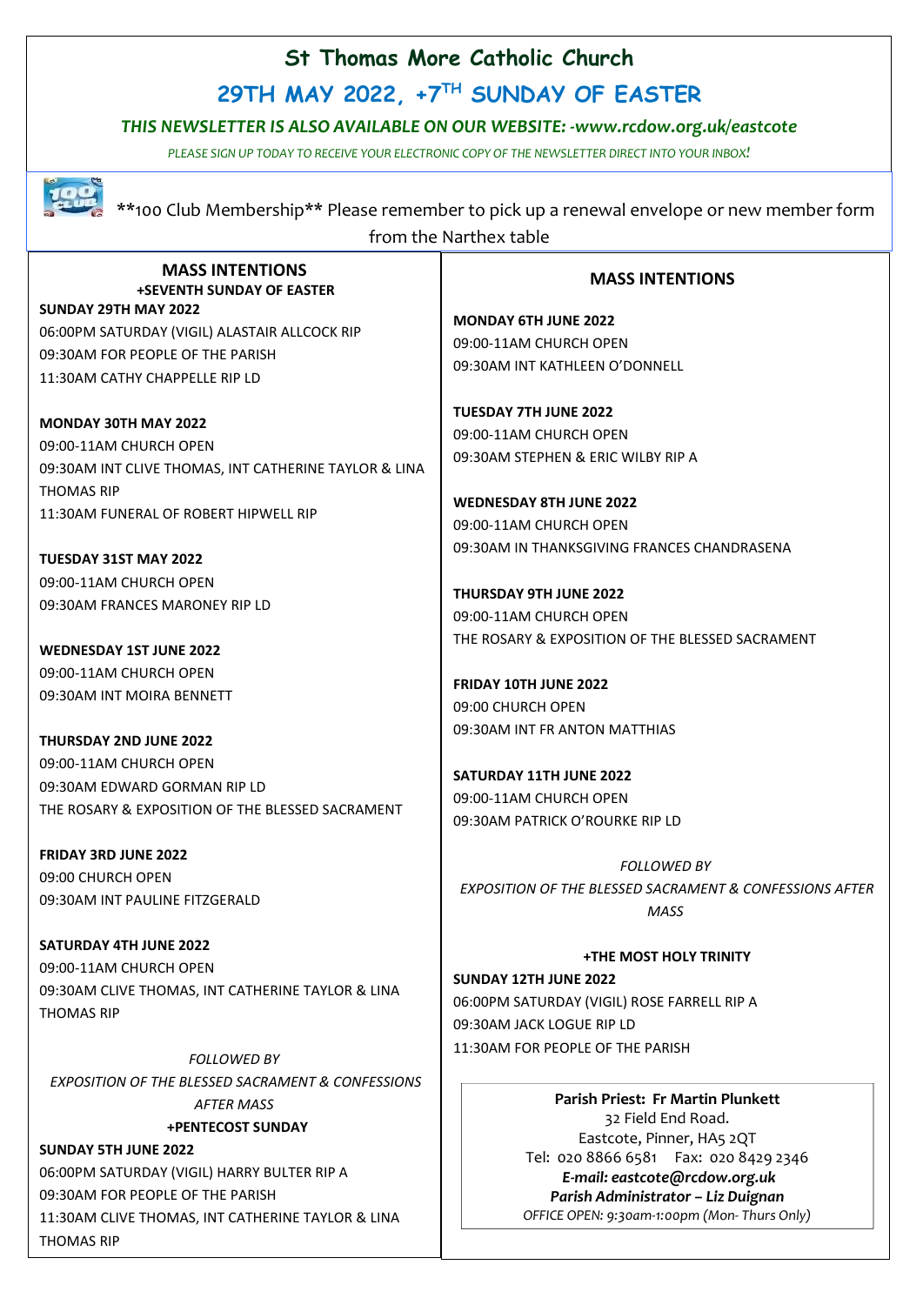### **St Thomas More Catholic Church**

**29TH MAY 2022, +7 TH SUNDAY OF EASTER**

#### *THIS NEWSLETTER IS ALSO AVAILABLE ON OUR WEBSITE: -www.rcdow.org.uk/eastcote*

*PLEASE SIGN UP TODAY TO RECEIVE YOUR ELECTRONIC COPY OF THE NEWSLETTER DIRECT INTO YOUR INBOX!*



 \*\*100 Club Membership\*\* Please remember to pick up a renewal envelope or new member form from the Narthex table

#### **MASS INTENTIONS +SEVENTH SUNDAY OF EASTER**

**SUNDAY 29TH MAY 2022** 06:00PM SATURDAY (VIGIL) ALASTAIR ALLCOCK RIP 09:30AM FOR PEOPLE OF THE PARISH 11:30AM CATHY CHAPPELLE RIP LD

**MONDAY 30TH MAY 2022** 09:00-11AM CHURCH OPEN 09:30AM INT CLIVE THOMAS, INT CATHERINE TAYLOR & LINA THOMAS RIP 11:30AM FUNERAL OF ROBERT HIPWELL RIP

**TUESDAY 31ST MAY 2022** 09:00-11AM CHURCH OPEN 09:30AM FRANCES MARONEY RIP LD

**WEDNESDAY 1ST JUNE 2022** 09:00-11AM CHURCH OPEN 09:30AM INT MOIRA BENNETT

**THURSDAY 2ND JUNE 2022** 09:00-11AM CHURCH OPEN 09:30AM EDWARD GORMAN RIP LD THE ROSARY & EXPOSITION OF THE BLESSED SACRAMENT

**FRIDAY 3RD JUNE 2022** 09:00 CHURCH OPEN 09:30AM INT PAULINE FITZGERALD

**SATURDAY 4TH JUNE 2022** 09:00-11AM CHURCH OPEN 09:30AM CLIVE THOMAS, INT CATHERINE TAYLOR & LINA THOMAS RIP

*FOLLOWED BY EXPOSITION OF THE BLESSED SACRAMENT & CONFESSIONS AFTER MASS* **+PENTECOST SUNDAY**

**SUNDAY 5TH JUNE 2022** 06:00PM SATURDAY (VIGIL) HARRY BULTER RIP A 09:30AM FOR PEOPLE OF THE PARISH 11:30AM CLIVE THOMAS, INT CATHERINE TAYLOR & LINA THOMAS RIP

#### **MASS INTENTIONS**

**MONDAY 6TH JUNE 2022** 09:00-11AM CHURCH OPEN 09:30AM INT KATHLEEN O'DONNELL

**TUESDAY 7TH JUNE 2022** 09:00-11AM CHURCH OPEN 09:30AM STEPHEN & ERIC WILBY RIP A

#### **WEDNESDAY 8TH JUNE 2022** 09:00-11AM CHURCH OPEN 09:30AM IN THANKSGIVING FRANCES CHANDRASENA

**THURSDAY 9TH JUNE 2022** 09:00-11AM CHURCH OPEN THE ROSARY & EXPOSITION OF THE BLESSED SACRAMENT

**FRIDAY 10TH JUNE 2022** 09:00 CHURCH OPEN 09:30AM INT FR ANTON MATTHIAS

**SATURDAY 11TH JUNE 2022** 09:00-11AM CHURCH OPEN 09:30AM PATRICK O'ROURKE RIP LD

*FOLLOWED BY EXPOSITION OF THE BLESSED SACRAMENT & CONFESSIONS AFTER MASS*

**+THE MOST HOLY TRINITY SUNDAY 12TH JUNE 2022** 06:00PM SATURDAY (VIGIL) ROSE FARRELL RIP A 09:30AM JACK LOGUE RIP LD 11:30AM FOR PEOPLE OF THE PARISH

> **Parish Priest: Fr Martin Plunkett**  32 Field End Road. Eastcote, Pinner, HA5 2QT Tel: 020 8866 6581 Fax: 020 8429 2346 *E-mail: eastcote@rcdow.org.uk Parish Administrator – Liz Duignan OFFICE OPEN: 9:30am-1:00pm (Mon- Thurs Only)*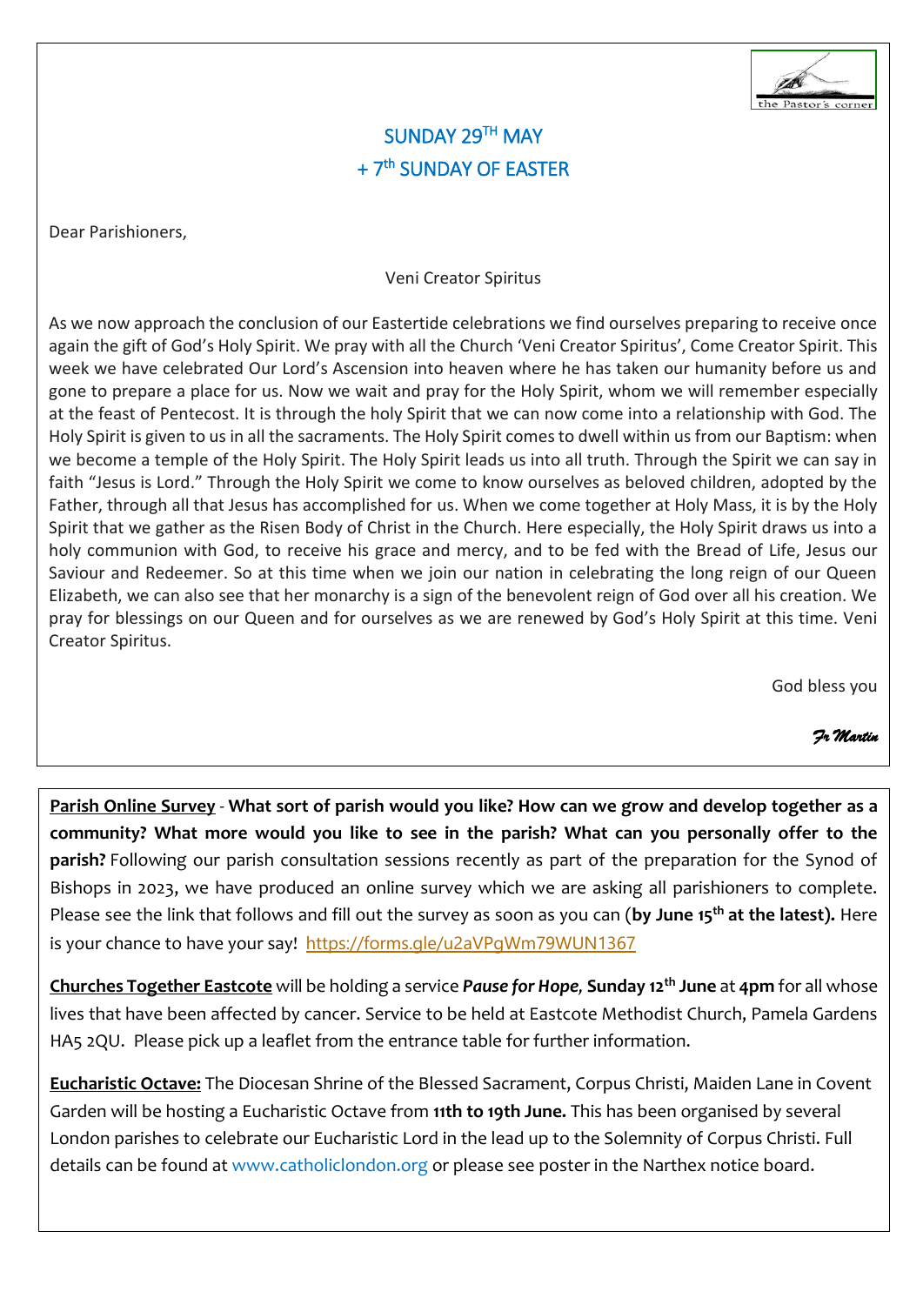

### SUNDAY 29TH MAY + 7<sup>th</sup> SUNDAY OF EASTER

Dear Parishioners,

#### Veni Creator Spiritus

As we now approach the conclusion of our Eastertide celebrations we find ourselves preparing to receive once again the gift of God's Holy Spirit. We pray with all the Church 'Veni Creator Spiritus', Come Creator Spirit. This week we have celebrated Our Lord's Ascension into heaven where he has taken our humanity before us and gone to prepare a place for us. Now we wait and pray for the Holy Spirit, whom we will remember especially at the feast of Pentecost. It is through the holy Spirit that we can now come into a relationship with God. The Holy Spirit is given to us in all the sacraments. The Holy Spirit comes to dwell within us from our Baptism: when we become a temple of the Holy Spirit. The Holy Spirit leads us into all truth. Through the Spirit we can say in faith "Jesus is Lord." Through the Holy Spirit we come to know ourselves as beloved children, adopted by the Father, through all that Jesus has accomplished for us. When we come together at Holy Mass, it is by the Holy Spirit that we gather as the Risen Body of Christ in the Church. Here especially, the Holy Spirit draws us into a holy communion with God, to receive his grace and mercy, and to be fed with the Bread of Life, Jesus our Saviour and Redeemer. So at this time when we join our nation in celebrating the long reign of our Queen Elizabeth, we can also see that her monarchy is a sign of the benevolent reign of God over all his creation. We pray for blessings on our Queen and for ourselves as we are renewed by God's Holy Spirit at this time. Veni Creator Spiritus.

God bless you

 *Fr Martin*

**Parish Online Survey** - **What sort of parish would you like? How can we grow and develop together as a community? What more would you like to see in the parish? What can you personally offer to the parish?** Following our parish consultation sessions recently as part of the preparation for the Synod of Bishops in 2023, we have produced an online survey which we are asking all parishioners to complete. Please see the link that follows and fill out the survey as soon as you can (**by June 15 th at the latest).** Here is your chance to have your say! <https://forms.gle/u2aVPgWm79WUN1367>

**Churches Together Eastcote** will be holding a service *Pause for Hope,* **Sunday 12th June** at **4pm** for all whose lives that have been affected by cancer. Service to be held at Eastcote Methodist Church, Pamela Gardens HA5 2QU. Please pick up a leaflet from the entrance table for further information.

**Eucharistic Octave:** The Diocesan Shrine of the Blessed Sacrament, Corpus Christi, Maiden Lane in Covent Garden will be hosting a Eucharistic Octave from **11th to 19th June.** This has been organised by several London parishes to celebrate our Eucharistic Lord in the lead up to the Solemnity of Corpus Christi. Full details can be found at www.catholiclondon.org or please see poster in the Narthex notice board.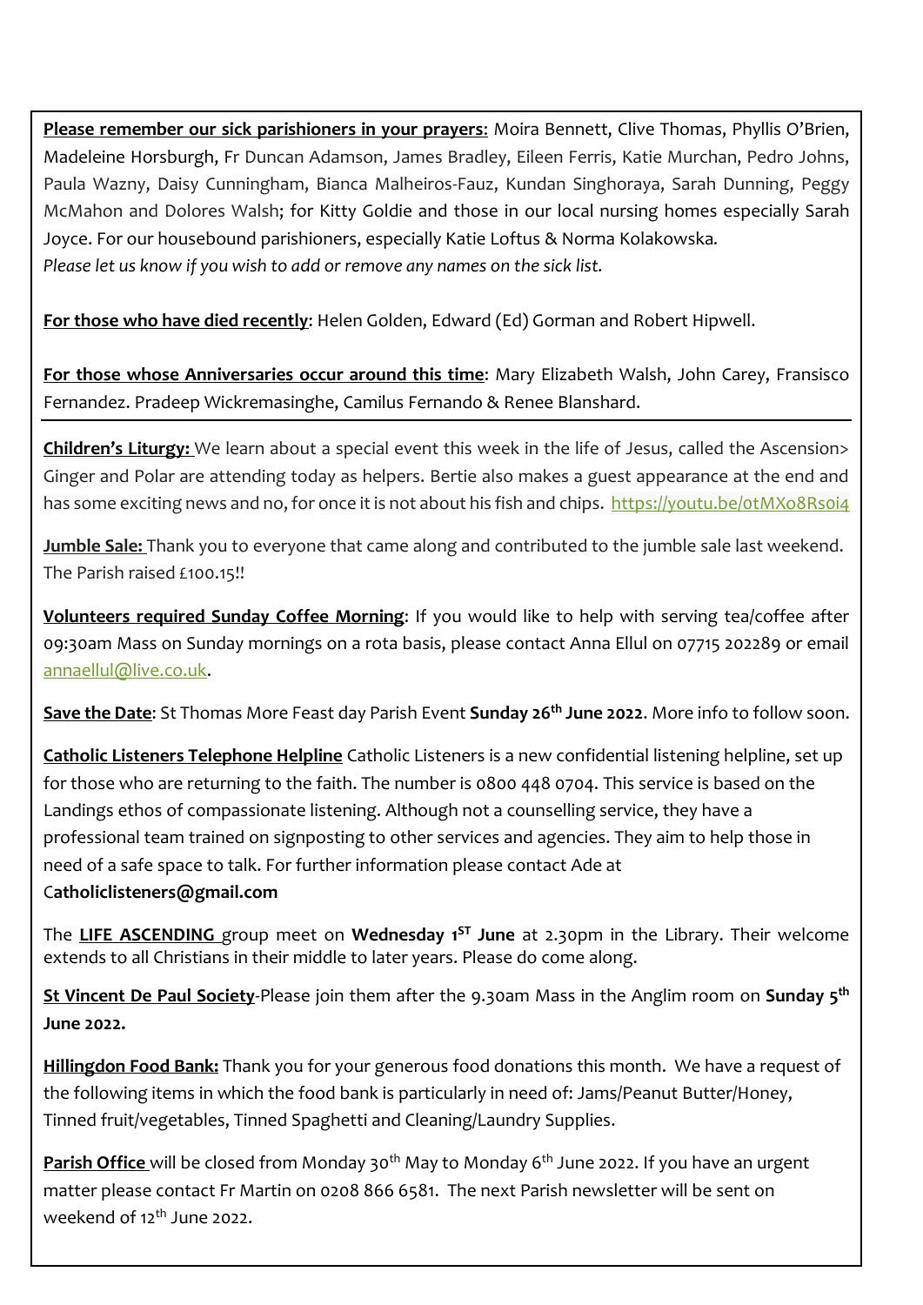**Please remember our sick parishioners in your prayers**: Moira Bennett, Clive Thomas, Phyllis O'Brien, Madeleine Horsburgh, Fr Duncan Adamson, James Bradley, Eileen Ferris, Katie Murchan, Pedro Johns, Paula Wazny, Daisy Cunningham, Bianca Malheiros-Fauz, Kundan Singhoraya, Sarah Dunning, Peggy McMahon and Dolores Walsh; for Kitty Goldie and those in our local nursing homes especially Sarah Joyce. For our housebound parishioners, especially Katie Loftus & Norma Kolakowska*. Please let us know if you wish to add or remove any names on the sick list.*

**For those who have died recently**: Helen Golden, Edward (Ed) Gorman and Robert Hipwell.

**For those whose Anniversaries occur around this time**: Mary Elizabeth Walsh, John Carey, Fransisco Fernandez. Pradeep Wickremasinghe, Camilus Fernando & Renee Blanshard.

**Children's Liturgy:** We learn about a special event this week in the life of Jesus, called the Ascension> Ginger and Polar are attending today as helpers. Bertie also makes a guest appearance at the end and has some exciting news and no, for once it is not about his fish and chips. https://youtu.be/otMXo8Rsoi4

**Jumble Sale:** Thank you to everyone that came along and contributed to the jumble sale last weekend. The Parish raised £100.15!!

**Volunteers required Sunday Coffee Morning**: If you would like to help with serving tea/coffee after 09:30am Mass on Sunday mornings on a rota basis, please contact Anna Ellul on 07715 202289 or email [annaellul@live.co.uk.](mailto:annaellul@live.co.uk)

**Save the Date**: St Thomas More Feast day Parish Event **Sunday 26th June 2022**. More info to follow soon.

**Catholic Listeners Telephone Helpline** Catholic Listeners is a new confidential listening helpline, set up for those who are returning to the faith. The number is 0800 448 0704. This service is based on the Landings ethos of compassionate listening. Although not a counselling service, they have a professional team trained on signposting to other services and agencies. They aim to help those in need of a safe space to talk. For further information please contact Ade at C**atholiclisteners@gmail.com**

The **LIFE ASCENDING** group meet on **Wednesday 1 ST June** at 2.30pm in the Library. Their welcome extends to all Christians in their middle to later years. Please do come along.

**St Vincent De Paul Society**-Please join them after the 9.30am Mass in the Anglim room on **Sunday 5 th June 2022.**

**Hillingdon Food Bank:** Thank you for your generous food donations this month. We have a request of the following items in which the food bank is particularly in need of: Jams/Peanut Butter/Honey, Tinned fruit/vegetables, Tinned Spaghetti and Cleaning/Laundry Supplies.

**Parish Office** will be closed from Monday 30<sup>th</sup> May to Monday 6<sup>th</sup> June 2022. If you have an urgent matter please contact Fr Martin on 0208 866 6581. The next Parish newsletter will be sent on weekend of  $12^{th}$  June 2022.